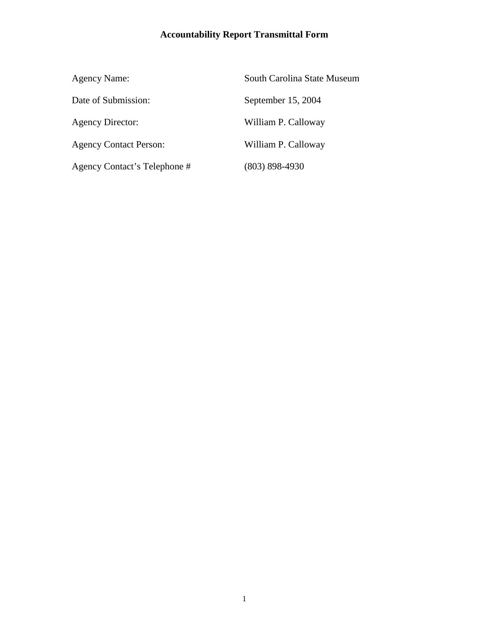# **Accountability Report Transmittal Form**

| <b>Agency Name:</b>           | South Carolina State Museum |
|-------------------------------|-----------------------------|
| Date of Submission:           | September 15, 2004          |
| <b>Agency Director:</b>       | William P. Calloway         |
| <b>Agency Contact Person:</b> | William P. Calloway         |
| Agency Contact's Telephone #  | $(803)$ 898-4930            |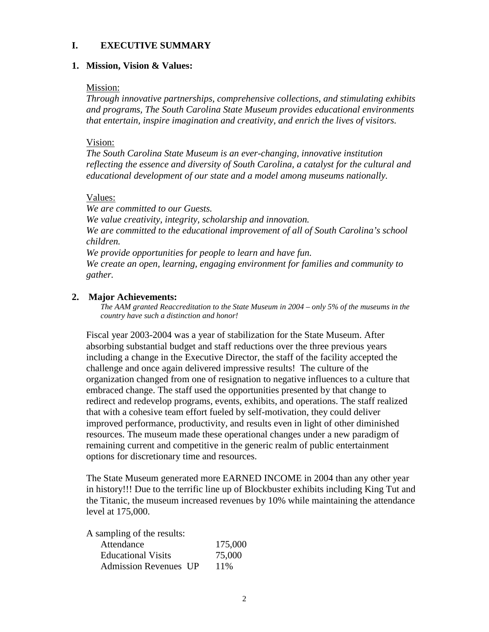### **I. EXECUTIVE SUMMARY**

### **1. Mission, Vision & Values:**

### Mission:

*Through innovative partnerships, comprehensive collections, and stimulating exhibits and programs, The South Carolina State Museum provides educational environments that entertain, inspire imagination and creativity, and enrich the lives of visitors.*

### Vision:

*The South Carolina State Museum is an ever-changing, innovative institution reflecting the essence and diversity of South Carolina, a catalyst for the cultural and educational development of our state and a model among museums nationally.*

### Values:

*We are committed to our Guests. We value creativity, integrity, scholarship and innovation. We are committed to the educational improvement of all of South Carolina's school children. We provide opportunities for people to learn and have fun. We create an open, learning, engaging environment for families and community to gather.*

### **2. Major Achievements:**

*The AAM granted Reaccreditation to the State Museum in 2004 – only 5% of the museums in the country have such a distinction and honor!*

Fiscal year 2003-2004 was a year of stabilization for the State Museum. After absorbing substantial budget and staff reductions over the three previous years including a change in the Executive Director, the staff of the facility accepted the challenge and once again delivered impressive results! The culture of the organization changed from one of resignation to negative influences to a culture that embraced change. The staff used the opportunities presented by that change to redirect and redevelop programs, events, exhibits, and operations. The staff realized that with a cohesive team effort fueled by self-motivation, they could deliver improved performance, productivity, and results even in light of other diminished resources. The museum made these operational changes under a new paradigm of remaining current and competitive in the generic realm of public entertainment options for discretionary time and resources.

The State Museum generated more EARNED INCOME in 2004 than any other year in history!!! Due to the terrific line up of Blockbuster exhibits including King Tut and the Titanic, the museum increased revenues by 10% while maintaining the attendance level at 175,000.

A sampling of the results:

| Attendance                   | 175,000 |
|------------------------------|---------|
| <b>Educational Visits</b>    | 75,000  |
| <b>Admission Revenues UP</b> | 11\%    |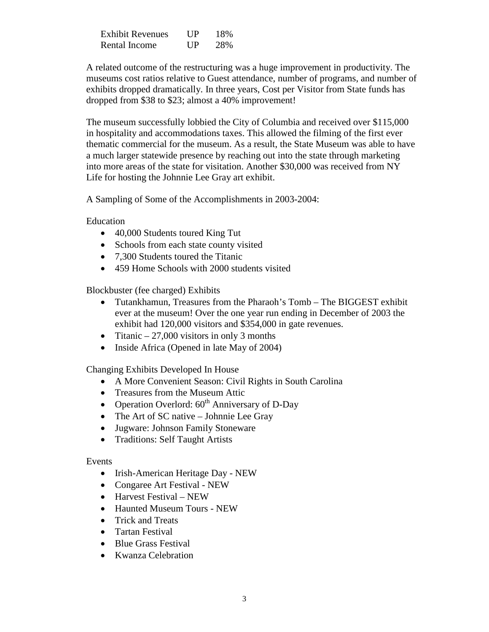| Exhibit Revenues | UP         | 18% |
|------------------|------------|-----|
| Rental Income    | <b>TIP</b> | 28% |

A related outcome of the restructuring was a huge improvement in productivity. The museums cost ratios relative to Guest attendance, number of programs, and number of exhibits dropped dramatically. In three years, Cost per Visitor from State funds has dropped from \$38 to \$23; almost a 40% improvement!

The museum successfully lobbied the City of Columbia and received over \$115,000 in hospitality and accommodations taxes. This allowed the filming of the first ever thematic commercial for the museum. As a result, the State Museum was able to have a much larger statewide presence by reaching out into the state through marketing into more areas of the state for visitation. Another \$30,000 was received from NY Life for hosting the Johnnie Lee Gray art exhibit.

A Sampling of Some of the Accomplishments in 2003-2004:

Education

- 40,000 Students toured King Tut
- Schools from each state county visited
- 7.300 Students toured the Titanic
- 459 Home Schools with 2000 students visited

Blockbuster (fee charged) Exhibits

- Tutankhamun, Treasures from the Pharaoh's Tomb The BIGGEST exhibit ever at the museum! Over the one year run ending in December of 2003 the exhibit had 120,000 visitors and \$354,000 in gate revenues.
- Titanic  $-27,000$  visitors in only 3 months
- Inside Africa (Opened in late May of 2004)

Changing Exhibits Developed In House

- A More Convenient Season: Civil Rights in South Carolina
- Treasures from the Museum Attic
- Operation Overlord:  $60<sup>th</sup>$  Anniversary of D-Day
- The Art of SC native Johnnie Lee Gray
- Jugware: Johnson Family Stoneware
- Traditions: Self Taught Artists

# Events

- Irish-American Heritage Day NEW
- Congaree Art Festival NEW
- Harvest Festival NEW
- Haunted Museum Tours NEW
- Trick and Treats
- Tartan Festival
- Blue Grass Festival
- Kwanza Celebration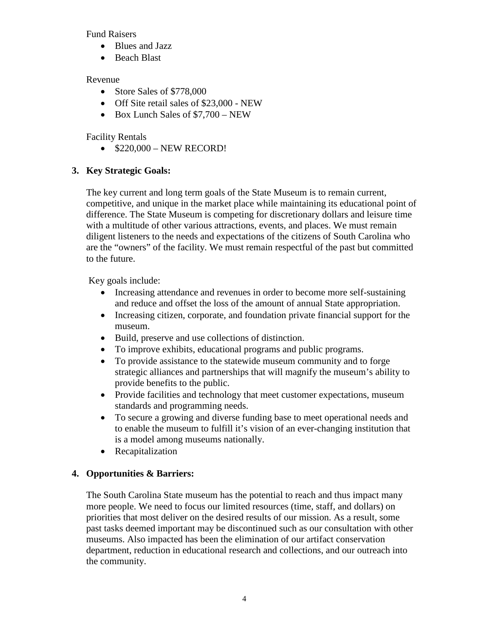Fund Raisers

- Blues and Jazz
- Beach Blast

# Revenue

- Store Sales of \$778,000
- Off Site retail sales of \$23,000 NEW
- Box Lunch Sales of \$7,700 NEW

# Facility Rentals

• \$220,000 – NEW RECORD!

# **3. Key Strategic Goals:**

The key current and long term goals of the State Museum is to remain current, competitive, and unique in the market place while maintaining its educational point of difference. The State Museum is competing for discretionary dollars and leisure time with a multitude of other various attractions, events, and places. We must remain diligent listeners to the needs and expectations of the citizens of South Carolina who are the "owners" of the facility. We must remain respectful of the past but committed to the future.

Key goals include:

- Increasing attendance and revenues in order to become more self-sustaining and reduce and offset the loss of the amount of annual State appropriation.
- Increasing citizen, corporate, and foundation private financial support for the museum.
- Build, preserve and use collections of distinction.
- To improve exhibits, educational programs and public programs.
- To provide assistance to the statewide museum community and to forge strategic alliances and partnerships that will magnify the museum's ability to provide benefits to the public.
- Provide facilities and technology that meet customer expectations, museum standards and programming needs.
- To secure a growing and diverse funding base to meet operational needs and to enable the museum to fulfill it's vision of an ever-changing institution that is a model among museums nationally.
- Recapitalization

# **4. Opportunities & Barriers:**

The South Carolina State museum has the potential to reach and thus impact many more people. We need to focus our limited resources (time, staff, and dollars) on priorities that most deliver on the desired results of our mission. As a result, some past tasks deemed important may be discontinued such as our consultation with other museums. Also impacted has been the elimination of our artifact conservation department, reduction in educational research and collections, and our outreach into the community.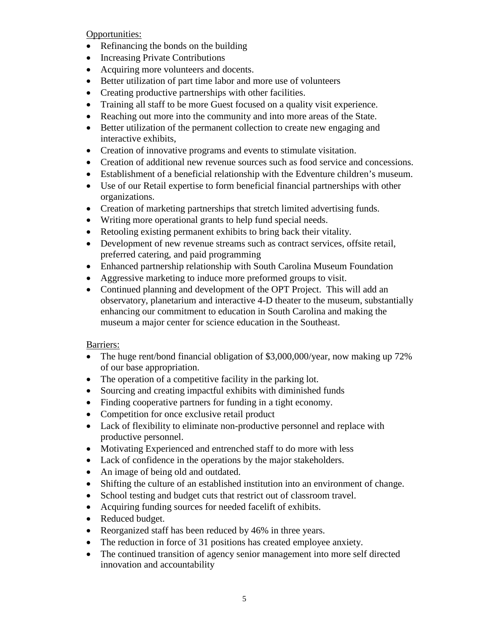Opportunities:

- Refinancing the bonds on the building
- Increasing Private Contributions
- Acquiring more volunteers and docents.
- Better utilization of part time labor and more use of volunteers
- Creating productive partnerships with other facilities.
- Training all staff to be more Guest focused on a quality visit experience.
- Reaching out more into the community and into more areas of the State.
- Better utilization of the permanent collection to create new engaging and interactive exhibits,
- Creation of innovative programs and events to stimulate visitation.
- Creation of additional new revenue sources such as food service and concessions.
- Establishment of a beneficial relationship with the Edventure children's museum.
- Use of our Retail expertise to form beneficial financial partnerships with other organizations.
- Creation of marketing partnerships that stretch limited advertising funds.
- Writing more operational grants to help fund special needs.
- Retooling existing permanent exhibits to bring back their vitality.
- Development of new revenue streams such as contract services, offsite retail, preferred catering, and paid programming
- Enhanced partnership relationship with South Carolina Museum Foundation
- Aggressive marketing to induce more preformed groups to visit.
- Continued planning and development of the OPT Project. This will add an observatory, planetarium and interactive 4-D theater to the museum, substantially enhancing our commitment to education in South Carolina and making the museum a major center for science education in the Southeast.

# Barriers:

- The huge rent/bond financial obligation of \$3,000,000/year, now making up 72% of our base appropriation.
- The operation of a competitive facility in the parking lot.
- Sourcing and creating impactful exhibits with diminished funds
- Finding cooperative partners for funding in a tight economy.
- Competition for once exclusive retail product
- Lack of flexibility to eliminate non-productive personnel and replace with productive personnel.
- Motivating Experienced and entrenched staff to do more with less
- Lack of confidence in the operations by the major stakeholders.
- An image of being old and outdated.
- Shifting the culture of an established institution into an environment of change.
- School testing and budget cuts that restrict out of classroom travel.
- Acquiring funding sources for needed facelift of exhibits.
- Reduced budget.
- Reorganized staff has been reduced by 46% in three years.
- The reduction in force of 31 positions has created employee anxiety.
- The continued transition of agency senior management into more self directed innovation and accountability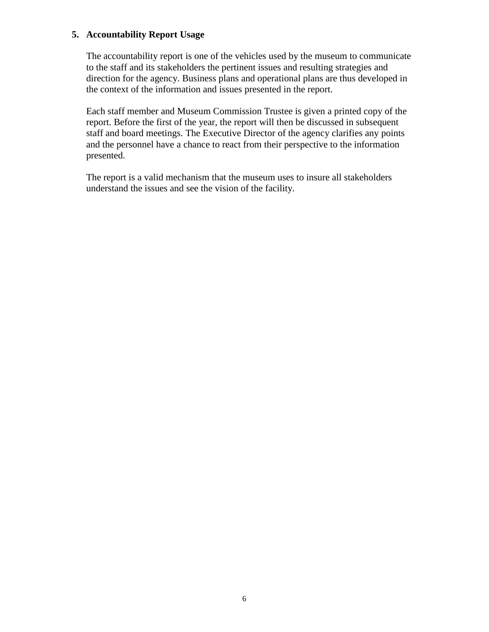# **5. Accountability Report Usage**

The accountability report is one of the vehicles used by the museum to communicate to the staff and its stakeholders the pertinent issues and resulting strategies and direction for the agency. Business plans and operational plans are thus developed in the context of the information and issues presented in the report.

Each staff member and Museum Commission Trustee is given a printed copy of the report. Before the first of the year, the report will then be discussed in subsequent staff and board meetings. The Executive Director of the agency clarifies any points and the personnel have a chance to react from their perspective to the information presented.

The report is a valid mechanism that the museum uses to insure all stakeholders understand the issues and see the vision of the facility.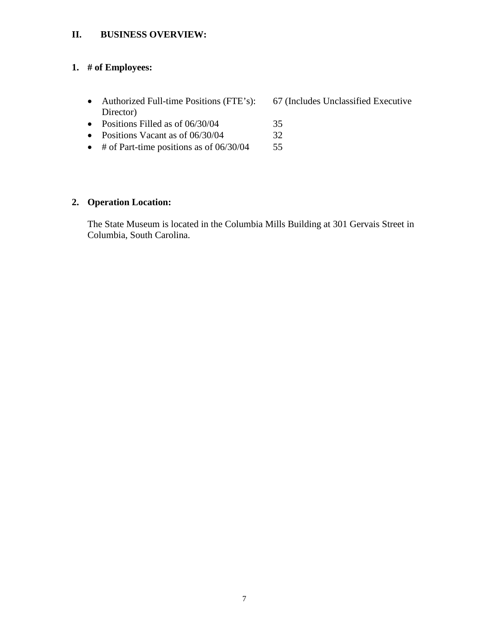# **II. BUSINESS OVERVIEW:**

# **1. # of Employees:**

- Authorized Full-time Positions (FTE's): 67 (Includes Unclassified Executive Director)
- Positions Filled as of 06/30/04 35
- Positions Vacant as of 06/30/04 32
- # of Part-time positions as of 06/30/04 55

# **2. Operation Location:**

The State Museum is located in the Columbia Mills Building at 301 Gervais Street in Columbia, South Carolina.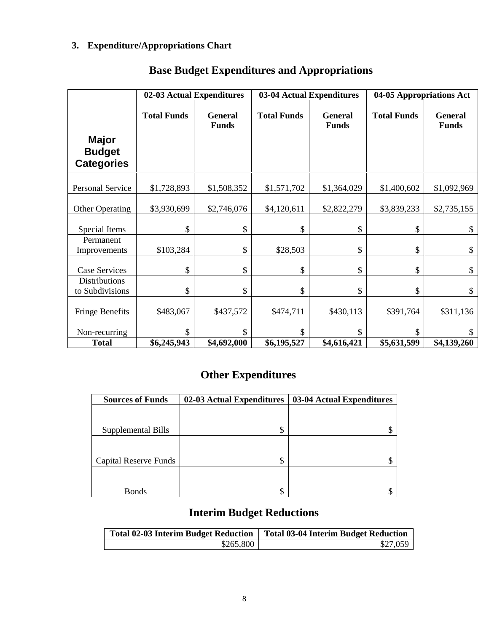# **3. Expenditure/Appropriations Chart**

|                                                    | 02-03 Actual Expenditures |                                | 03-04 Actual Expenditures |                                | 04-05 Appropriations Act |                                |  |
|----------------------------------------------------|---------------------------|--------------------------------|---------------------------|--------------------------------|--------------------------|--------------------------------|--|
| <b>Major</b><br><b>Budget</b><br><b>Categories</b> | <b>Total Funds</b>        | <b>General</b><br><b>Funds</b> | <b>Total Funds</b>        | <b>General</b><br><b>Funds</b> | <b>Total Funds</b>       | <b>General</b><br><b>Funds</b> |  |
| Personal Service                                   | \$1,728,893               | \$1,508,352                    | \$1,571,702               | \$1,364,029                    | \$1,400,602              | \$1,092,969                    |  |
| <b>Other Operating</b>                             | \$3,930,699               | \$2,746,076                    | \$4,120,611               | \$2,822,279                    | \$3,839,233              | \$2,735,155                    |  |
| Special Items                                      | \$                        | \$                             | \$                        | \$                             | \$                       | \$                             |  |
| Permanent<br>Improvements                          | \$103,284                 | \$                             | \$28,503                  | \$                             | \$                       | \$                             |  |
| <b>Case Services</b>                               | \$                        | \$                             | \$                        | \$                             | \$                       | \$                             |  |
| <b>Distributions</b><br>to Subdivisions            | \$                        | \$                             | \$                        | \$                             | \$                       | \$                             |  |
| <b>Fringe Benefits</b>                             | \$483,067                 | \$437,572                      | \$474,711                 | \$430,113                      | \$391,764                | \$311,136                      |  |
| Non-recurring                                      | \$                        | \$                             | \$                        | \$                             | \$                       | \$                             |  |
| <b>Total</b>                                       | \$6,245,943               | \$4,692,000                    | \$6,195,527               | \$4,616,421                    | \$5,631,599              | \$4,139,260                    |  |

# **Base Budget Expenditures and Appropriations**

# **Other Expenditures**

| <b>Sources of Funds</b> | 02-03 Actual Expenditures | 03-04 Actual Expenditures |
|-------------------------|---------------------------|---------------------------|
|                         |                           |                           |
| Supplemental Bills      | \$                        |                           |
|                         |                           |                           |
| Capital Reserve Funds   | \$                        |                           |
|                         |                           |                           |
| <b>Bonds</b>            | \$                        |                           |

# **Interim Budget Reductions**

| <b>Total 02-03 Interim Budget Reduction</b> | <b>Total 03-04 Interim Budget Reduction</b> |  |  |  |
|---------------------------------------------|---------------------------------------------|--|--|--|
| \$265,800                                   | \$27,059                                    |  |  |  |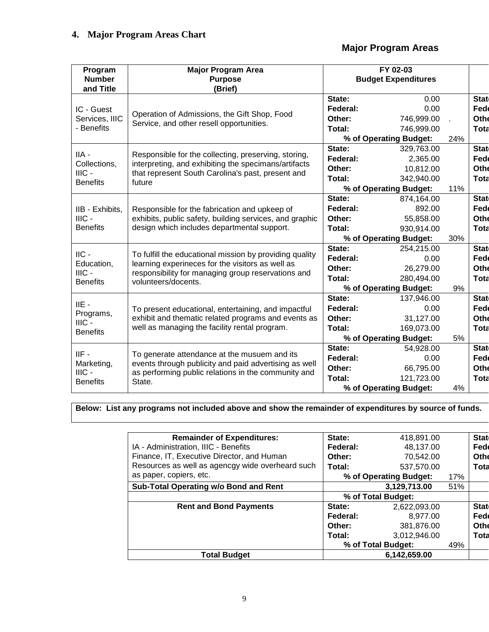# **Major Program Areas**

| Program                    | <b>Major Program Area</b>                                                                                    | FY 02-03 |                            |     |             |
|----------------------------|--------------------------------------------------------------------------------------------------------------|----------|----------------------------|-----|-------------|
| <b>Number</b><br>and Title | <b>Purpose</b><br>(Brief)                                                                                    |          | <b>Budget Expenditures</b> |     |             |
|                            |                                                                                                              | State:   | 0.00                       |     | <b>Stat</b> |
| IC - Guest                 | Operation of Admissions, the Gift Shop, Food                                                                 | Federal: | 0.00                       |     | Fed         |
| Services, IIIC             | Service, and other resell opportunities.                                                                     | Other:   | 746,999.00                 |     | Othe        |
| - Benefits                 |                                                                                                              | Total:   | 746,999.00                 |     | <b>Tota</b> |
|                            |                                                                                                              |          | % of Operating Budget:     | 24% |             |
| IIA -                      | Responsible for the collecting, preserving, storing,                                                         | State:   | 329,763.00                 |     | <b>Stat</b> |
| Collections,               | interpreting, and exhibiting the specimans/artifacts                                                         | Federal: | 2,365.00                   |     | Fed         |
| $HIC -$                    | that represent South Carolina's past, present and                                                            | Other:   | 10,812.00                  |     | Othe        |
| <b>Benefits</b>            | future                                                                                                       | Total:   | 342,940.00                 |     | Tota        |
|                            |                                                                                                              |          | % of Operating Budget:     | 11% |             |
|                            |                                                                                                              | State:   | 874,164.00                 |     | Stat        |
| IIB - Exhibits,            | Responsible for the fabrication and upkeep of                                                                | Federal: | 892.00                     |     | Fed         |
| $IILC -$                   | exhibits, public safety, building services, and graphic                                                      | Other:   | 55,858.00                  |     | Othe        |
| <b>Benefits</b>            | design which includes departmental support.                                                                  | Total:   | 930,914.00                 |     | Tota        |
|                            |                                                                                                              |          | % of Operating Budget:     | 30% |             |
| $\parallel$ C -            | To fulfill the educational mission by providing quality                                                      | State:   | 254,215.00                 |     | <b>Stat</b> |
| Education,                 | learning experineces for the visitors as well as                                                             | Federal: | 0.00                       |     | Fed         |
| $HIC -$                    | responsibility for managing group reservations and                                                           | Other:   | 26,279.00                  |     | Othe        |
| <b>Benefits</b>            | volunteers/docents.                                                                                          | Total:   | 280,494.00                 |     | <b>Tota</b> |
|                            |                                                                                                              |          | % of Operating Budget:     | 9%  |             |
| $IIE -$                    |                                                                                                              | State:   | 137,946.00                 |     | <b>Stat</b> |
| Programs,                  | To present educational, entertaining, and impactful                                                          | Federal: | 0.00                       |     | Fed         |
| $IIIC -$                   | exhibit and thematic related programs and events as                                                          | Other:   | 31,127.00                  |     | Othe        |
| <b>Benefits</b>            | well as managing the facility rental program.                                                                | Total:   | 169,073.00                 |     | Tota        |
|                            |                                                                                                              |          | % of Operating Budget:     | 5%  |             |
| $IIF -$                    | To generate attendance at the musuem and its                                                                 | State:   | 54,928.00                  |     | <b>Stat</b> |
| Marketing,                 | events through publicity and paid advertising as well<br>as performing public relations in the community and | Federal: | 0.00                       |     | Fed         |
| $HIC -$                    |                                                                                                              | Other:   | 66,795.00                  |     | Othe        |
| <b>Benefits</b>            | State.                                                                                                       | Total:   | 121,723.00                 |     | Tota        |
|                            |                                                                                                              |          | % of Operating Budget:     | 4%  |             |

**Below: List any programs not included above and show the remainder of expenditures by source of funds.**

| <b>Remainder of Expenditures:</b>                | State:                        | 418,891.00         |     | <b>Stat</b> |
|--------------------------------------------------|-------------------------------|--------------------|-----|-------------|
| IA - Administration, IIIC - Benefits             | Federal:                      | 48,137.00          |     | Fed         |
| Finance, IT, Executive Director, and Human       | Other:                        | 70,542.00          |     | Othe        |
| Resources as well as agencgy wide overheard such | Total:                        | 537,570.00         |     | Tota        |
| as paper, copiers, etc.                          | % of Operating Budget:<br>17% |                    |     |             |
| Sub-Total Operating w/o Bond and Rent            | 3,129,713.00                  |                    | 51% |             |
|                                                  | % of Total Budget:            |                    |     |             |
| <b>Rent and Bond Payments</b>                    | State:                        | 2,622,093.00       |     | Stat        |
|                                                  | Federal:                      | 8,977.00           |     | Fed         |
|                                                  | Other:                        | 381,876.00         |     | Othe        |
|                                                  | Total:                        | 3,012,946.00       |     | Tota        |
|                                                  |                               | % of Total Budget: | 49% |             |
| <b>Total Budget</b>                              |                               | 6,142,659.00       |     |             |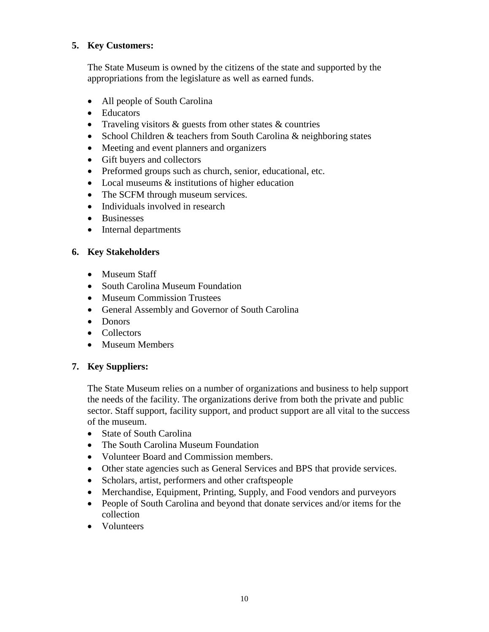# **5. Key Customers:**

The State Museum is owned by the citizens of the state and supported by the appropriations from the legislature as well as earned funds.

- All people of South Carolina
- Educators
- Traveling visitors & guests from other states & countries
- School Children & teachers from South Carolina & neighboring states
- Meeting and event planners and organizers
- Gift buyers and collectors
- Preformed groups such as church, senior, educational, etc.
- Local museums  $\&$  institutions of higher education
- The SCFM through museum services.
- Individuals involved in research
- Businesses
- Internal departments

# **6. Key Stakeholders**

- Museum Staff
- South Carolina Museum Foundation
- Museum Commission Trustees
- General Assembly and Governor of South Carolina
- Donors
- Collectors
- Museum Members

# **7. Key Suppliers:**

The State Museum relies on a number of organizations and business to help support the needs of the facility. The organizations derive from both the private and public sector. Staff support, facility support, and product support are all vital to the success of the museum.

- State of South Carolina
- The South Carolina Museum Foundation
- Volunteer Board and Commission members.
- Other state agencies such as General Services and BPS that provide services.
- Scholars, artist, performers and other craftspeople
- Merchandise, Equipment, Printing, Supply, and Food vendors and purveyors
- People of South Carolina and beyond that donate services and/or items for the collection
- Volunteers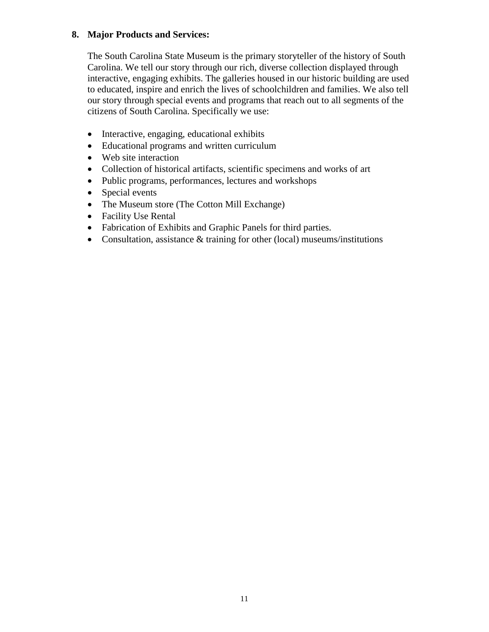# **8. Major Products and Services:**

The South Carolina State Museum is the primary storyteller of the history of South Carolina. We tell our story through our rich, diverse collection displayed through interactive, engaging exhibits. The galleries housed in our historic building are used to educated, inspire and enrich the lives of schoolchildren and families. We also tell our story through special events and programs that reach out to all segments of the citizens of South Carolina. Specifically we use:

- Interactive, engaging, educational exhibits
- Educational programs and written curriculum
- Web site interaction
- Collection of historical artifacts, scientific specimens and works of art
- Public programs, performances, lectures and workshops
- Special events
- The Museum store (The Cotton Mill Exchange)
- Facility Use Rental
- Fabrication of Exhibits and Graphic Panels for third parties.
- Consultation, assistance & training for other (local) museums/institutions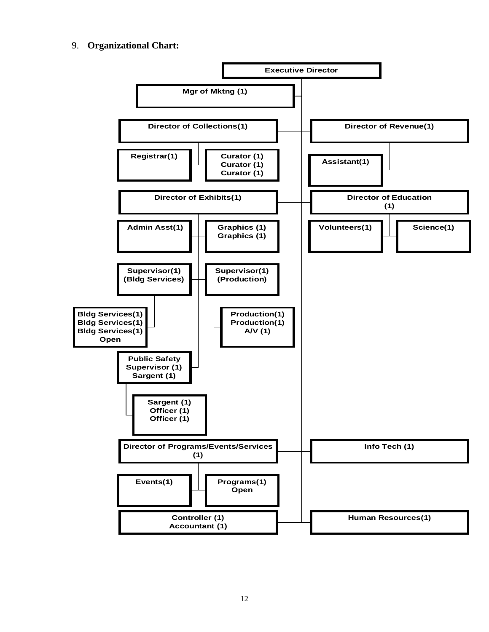## 9. **Organizational Chart:**

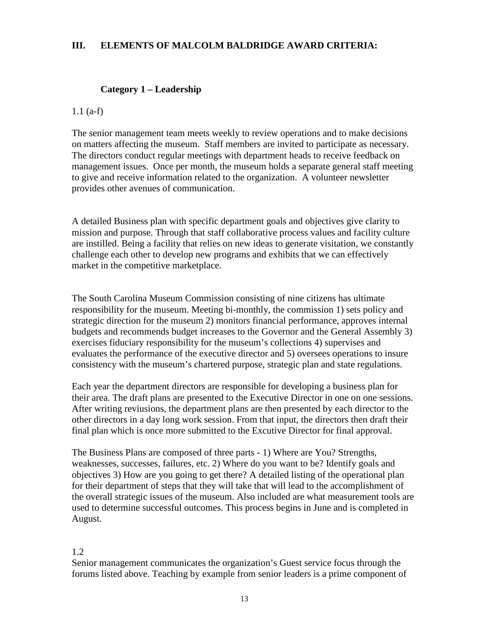## **III. ELEMENTS OF MALCOLM BALDRIDGE AWARD CRITERIA:**

### **Category 1 – Leadership**

### 1.1 (a-f)

The senior management team meets weekly to review operations and to make decisions on matters affecting the museum. Staff members are invited to participate as necessary. The directors conduct regular meetings with department heads to receive feedback on management issues. Once per month, the museum holds a separate general staff meeting to give and receive information related to the organization. A volunteer newsletter provides other avenues of communication.

A detailed Business plan with specific department goals and objectives give clarity to mission and purpose. Through that staff collaborative process values and facility culture are instilled. Being a facility that relies on new ideas to generate visitation, we constantly challenge each other to develop new programs and exhibits that we can effectively market in the competitive marketplace.

The South Carolina Museum Commission consisting of nine citizens has ultimate responsibility for the museum. Meeting bi-monthly, the commission 1) sets policy and strategic direction for the museum 2) monitors financial performance, approves internal budgets and recommends budget increases to the Governor and the General Assembly 3) exercises fiduciary responsibility for the museum's collections 4) supervises and evaluates the performance of the executive director and 5) oversees operations to insure consistency with the museum's chartered purpose, strategic plan and state regulations.

Each year the department directors are responsible for developing a business plan for their area. The draft plans are presented to the Executive Director in one on one sessions. After writing reviusions, the department plans are then presented by each director to the other directors in a day long work session. From that input, the directors then draft their final plan which is once more submitted to the Excutive Director for final approval.

The Business Plans are composed of three parts - 1) Where are You? Strengths, weaknesses, successes, failures, etc. 2) Where do you want to be? Identify goals and objectives 3) How are you going to get there? A detailed listing of the operational plan for their department of steps that they will take that will lead to the accomplishment of the overall strategic issues of the museum. Also included are what measurement tools are used to determine successful outcomes. This process begins in June and is completed in August.

### 1.2

Senior management communicates the organization's Guest service focus through the forums listed above. Teaching by example from senior leaders is a prime component of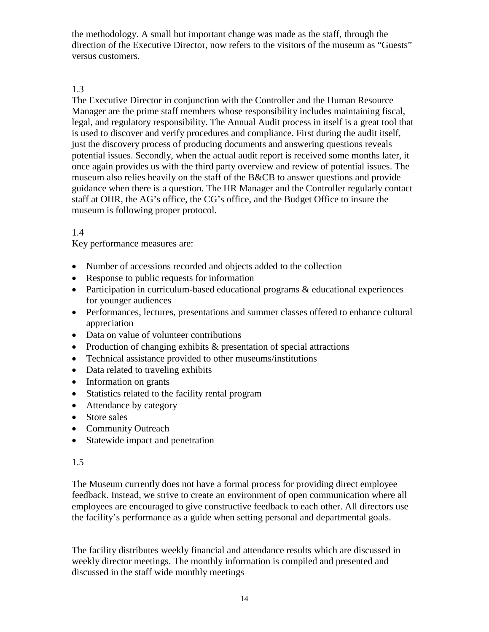the methodology. A small but important change was made as the staff, through the direction of the Executive Director, now refers to the visitors of the museum as "Guests" versus customers.

# 1.3

The Executive Director in conjunction with the Controller and the Human Resource Manager are the prime staff members whose responsibility includes maintaining fiscal, legal, and regulatory responsibility. The Annual Audit process in itself is a great tool that is used to discover and verify procedures and compliance. First during the audit itself, just the discovery process of producing documents and answering questions reveals potential issues. Secondly, when the actual audit report is received some months later, it once again provides us with the third party overview and review of potential issues. The museum also relies heavily on the staff of the B&CB to answer questions and provide guidance when there is a question. The HR Manager and the Controller regularly contact staff at OHR, the AG's office, the CG's office, and the Budget Office to insure the museum is following proper protocol.

# 1.4

Key performance measures are:

- Number of accessions recorded and objects added to the collection
- Response to public requests for information
- Participation in curriculum-based educational programs & educational experiences for younger audiences
- Performances, lectures, presentations and summer classes offered to enhance cultural appreciation
- Data on value of volunteer contributions
- Production of changing exhibits & presentation of special attractions
- Technical assistance provided to other museums/institutions
- Data related to traveling exhibits
- Information on grants
- Statistics related to the facility rental program
- Attendance by category
- Store sales
- Community Outreach
- Statewide impact and penetration

# 1.5

The Museum currently does not have a formal process for providing direct employee feedback. Instead, we strive to create an environment of open communication where all employees are encouraged to give constructive feedback to each other. All directors use the facility's performance as a guide when setting personal and departmental goals.

The facility distributes weekly financial and attendance results which are discussed in weekly director meetings. The monthly information is compiled and presented and discussed in the staff wide monthly meetings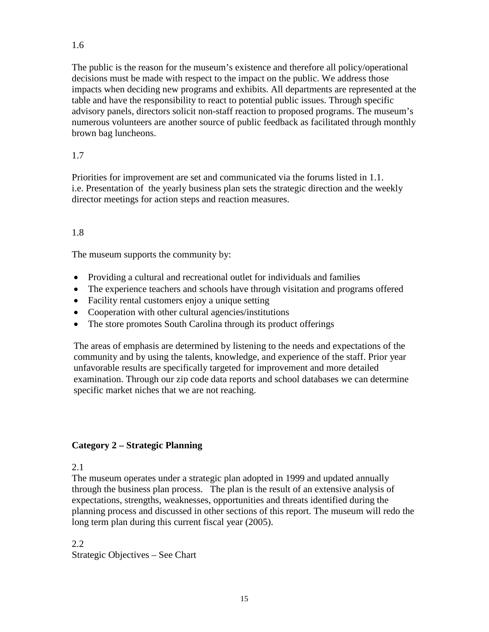The public is the reason for the museum's existence and therefore all policy/operational decisions must be made with respect to the impact on the public. We address those impacts when deciding new programs and exhibits. All departments are represented at the table and have the responsibility to react to potential public issues. Through specific advisory panels, directors solicit non-staff reaction to proposed programs. The museum's numerous volunteers are another source of public feedback as facilitated through monthly brown bag luncheons.

# 1.7

Priorities for improvement are set and communicated via the forums listed in 1.1. i.e. Presentation of the yearly business plan sets the strategic direction and the weekly director meetings for action steps and reaction measures.

# 1.8

The museum supports the community by:

- Providing a cultural and recreational outlet for individuals and families
- The experience teachers and schools have through visitation and programs offered
- Facility rental customers enjoy a unique setting
- Cooperation with other cultural agencies/institutions
- The store promotes South Carolina through its product offerings

The areas of emphasis are determined by listening to the needs and expectations of the community and by using the talents, knowledge, and experience of the staff. Prior year unfavorable results are specifically targeted for improvement and more detailed examination. Through our zip code data reports and school databases we can determine specific market niches that we are not reaching.

# **Category 2 – Strategic Planning**

## 2.1

The museum operates under a strategic plan adopted in 1999 and updated annually through the business plan process. The plan is the result of an extensive analysis of expectations, strengths, weaknesses, opportunities and threats identified during the planning process and discussed in other sections of this report. The museum will redo the long term plan during this current fiscal year (2005).

2.2 Strategic Objectives – See Chart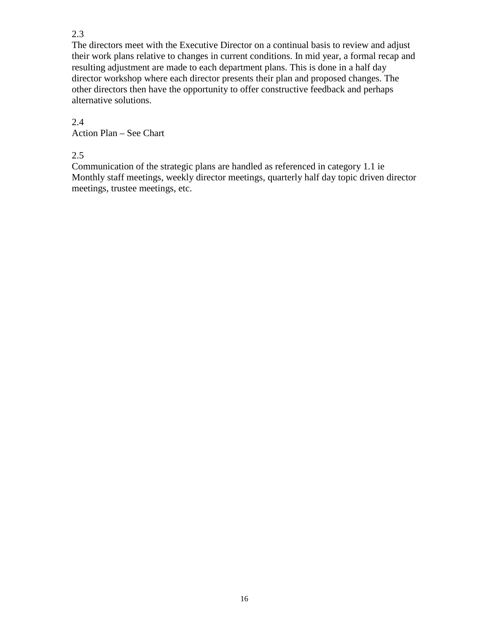# 2.3

The directors meet with the Executive Director on a continual basis to review and adjust their work plans relative to changes in current conditions. In mid year, a formal recap and resulting adjustment are made to each department plans. This is done in a half day director workshop where each director presents their plan and proposed changes. The other directors then have the opportunity to offer constructive feedback and perhaps alternative solutions.

# 2.4

Action Plan – See Chart

2.5

Communication of the strategic plans are handled as referenced in category 1.1 ie Monthly staff meetings, weekly director meetings, quarterly half day topic driven director meetings, trustee meetings, etc.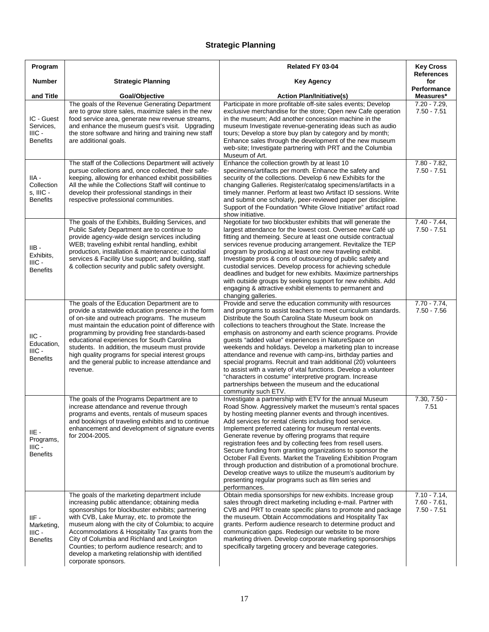# **Strategic Planning**

| Program                                                           |                                                                                                                                                                                                                                                                                                                                                                                                                                                                                         | Related FY 03-04                                                                                                                                                                                                                                                                                                                                                                                                                                                                                                                                                                                                                                                                                                                                                            | <b>Key Cross</b><br>References                    |
|-------------------------------------------------------------------|-----------------------------------------------------------------------------------------------------------------------------------------------------------------------------------------------------------------------------------------------------------------------------------------------------------------------------------------------------------------------------------------------------------------------------------------------------------------------------------------|-----------------------------------------------------------------------------------------------------------------------------------------------------------------------------------------------------------------------------------------------------------------------------------------------------------------------------------------------------------------------------------------------------------------------------------------------------------------------------------------------------------------------------------------------------------------------------------------------------------------------------------------------------------------------------------------------------------------------------------------------------------------------------|---------------------------------------------------|
| <b>Number</b>                                                     | <b>Strategic Planning</b>                                                                                                                                                                                                                                                                                                                                                                                                                                                               | <b>Key Agency</b>                                                                                                                                                                                                                                                                                                                                                                                                                                                                                                                                                                                                                                                                                                                                                           | for<br>Performance                                |
| and Title<br>IC - Guest<br>Services,<br>IIIC -<br><b>Benefits</b> | Goal/Objective<br>The goals of the Revenue Generating Department<br>are to grow store sales, maximize sales in the new<br>food service area, generate new revenue streams,<br>and enhance the museum guest's visit. Upgrading<br>the store software and hiring and training new staff<br>are additional goals.                                                                                                                                                                          | <b>Action Plan/Initiative(s)</b><br>Participate in more profitable off-site sales events; Develop<br>exclusive merchandise for the store; Open new Cafe operation<br>in the museum; Add another concession machine in the<br>museum Investigate revenue-generating ideas such as audio<br>tours; Develop a store buy plan by category and by month;<br>Enhance sales through the development of the new museum<br>web-site; Investigate partnering with PRT and the Columbia<br>Museum of Art.                                                                                                                                                                                                                                                                              | Measures*<br>$7.20 - 7.29$<br>$7.50 - 7.51$       |
| IIA -<br>Collection<br>s, IIIC -<br><b>Benefits</b>               | The staff of the Collections Department will actively<br>pursue collections and, once collected, their safe-<br>keeping, allowing for enhanced exhibit possibilities<br>All the while the Collections Staff will continue to<br>develop their professional standings in their<br>respective professional communities.                                                                                                                                                                   | Enhance the collection growth by at least 10<br>specimens/artifacts per month. Enhance the safety and<br>security of the collections. Develop 6 new Exhibits for the<br>changing Galleries. Register/catalog specimens/artifacts in a<br>timely manner. Perform at least two Artifact ID sessions. Write<br>and submit one scholarly, peer-reviewed paper per discipline.<br>Support of the Foundation "White Glove Initiative" artifact road<br>show initiative.                                                                                                                                                                                                                                                                                                           | $7.80 - 7.82$<br>$7.50 - 7.51$                    |
| $IIB -$<br>Exhibits,<br>$HIC -$<br><b>Benefits</b>                | The goals of the Exhibits, Building Services, and<br>Public Safety Department are to continue to<br>provide agency-wide design services including<br>WEB; traveling exhibit rental handling, exhibit<br>production, installation & maintenance; custodial<br>services & Facility Use support; and building, staff<br>& collection security and public safety oversight.                                                                                                                 | Negotiate for two blockbuster exhibits that will generate the<br>largest attendance for the lowest cost. Oversee new Café up<br>fitting and themeing. Secure at least one outside contractual<br>services revenue producing arrangement. Revitalize the TEP<br>program by producing at least one new traveling exhibit.<br>Investigate pros & cons of outsourcing of public safety and<br>custodial services. Develop process for achieving schedule<br>deadlines and budget for new exhibits. Maximize partnerships<br>with outside groups by seeking support for new exhibits. Add<br>engaging & attractive exhibit elements to permanent and<br>changing galleries.                                                                                                      | $7.40 - 7.44$ .<br>$7.50 - 7.51$                  |
| $\text{IIC}$ -<br>Education,<br>$IIIC -$<br><b>Benefits</b>       | The goals of the Education Department are to<br>provide a statewide education presence in the form<br>of on-site and outreach programs. The museum<br>must maintain the education point of difference with<br>programming by providing free standards-based<br>educational experiences for South Carolina<br>students. In addition, the museum must provide<br>high quality programs for special interest groups<br>and the general public to increase attendance and<br>revenue.       | Provide and serve the education community with resources<br>and programs to assist teachers to meet curriculum standards.<br>Distribute the South Carolina State Museum book on<br>collections to teachers throughout the State. Increase the<br>emphasis on astronomy and earth science programs. Provide<br>guests "added value" experiences in NatureSpace on<br>weekends and holidays. Develop a marketing plan to increase<br>attendance and revenue with camp-ins, birthday parties and<br>special programs. Recruit and train additional (20) volunteers<br>to assist with a variety of vital functions. Develop a volunteer<br>"characters in costume" interpretive program. Increase<br>partnerships between the museum and the educational<br>community such ETV. | $7.70 - 7.74$ ,<br>$7.50 - 7.56$                  |
| IIE -<br>Programs,<br>IIIC -<br><b>Benefits</b>                   | The goals of the Programs Department are to<br>increase attendance and revenue through<br>programs and events, rentals of museum spaces<br>and bookings of traveling exhibits and to continue<br>enhancement and development of signature events<br>for 2004-2005.                                                                                                                                                                                                                      | Investigate a partnership with ETV for the annual Museum<br>Road Show. Aggressively market the museum's rental spaces<br>by hosting meeting planner events and through incentives.<br>Add services for rental clients including food service.<br>Implement preferred catering for museum rental events.<br>Generate revenue by offering programs that require<br>registration fees and by collecting fees from resell users.<br>Secure funding from granting organizations to sponsor the<br>October Fall Events. Market the Traveling Exhibition Program<br>through production and distribution of a promotional brochure.<br>Develop creative ways to utilize the museum's auditorium by<br>presenting regular programs such as film series and<br>performances.          | $7.30, 7.50 -$<br>7.51                            |
| IIF -<br>Marketing,<br>IIIC -<br><b>Benefits</b>                  | The goals of the marketing department include<br>increasing public attendance; obtaining media<br>sponsorships for blockbuster exhibits; partnering<br>with CVB, Lake Murray, etc. to promote the<br>museum along with the city of Columbia; to acquire<br>Accommodations & Hospitality Tax grants from the<br>City of Columbia and Richland and Lexington<br>Counties; to perform audience research; and to<br>develop a marketing relationship with identified<br>corporate sponsors. | Obtain media sponsorships for new exhibits. Increase group<br>sales through direct marketing including e-mail. Partner with<br>CVB and PRT to create specific plans to promote and package<br>the museum. Obtain Accommodations and Hospitality Tax<br>grants. Perform audience research to determine product and<br>communication gaps. Redesign our website to be more<br>marketing driven. Develop corporate marketing sponsorships<br>specifically targeting grocery and beverage categories.                                                                                                                                                                                                                                                                           | $7.10 - 7.14$ ,<br>$7.60 - 7.61$<br>$7.50 - 7.51$ |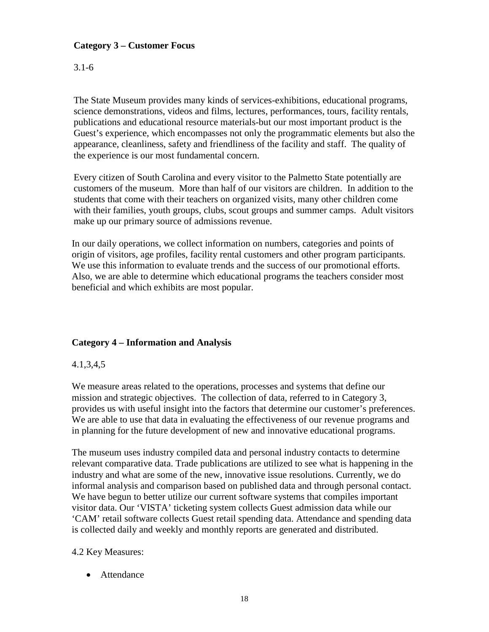# **Category 3 – Customer Focus**

# 3.1-6

The State Museum provides many kinds of services-exhibitions, educational programs, science demonstrations, videos and films, lectures, performances, tours, facility rentals, publications and educational resource materials-but our most important product is the Guest's experience, which encompasses not only the programmatic elements but also the appearance, cleanliness, safety and friendliness of the facility and staff. The quality of the experience is our most fundamental concern.

Every citizen of South Carolina and every visitor to the Palmetto State potentially are customers of the museum. More than half of our visitors are children. In addition to the students that come with their teachers on organized visits, many other children come with their families, youth groups, clubs, scout groups and summer camps. Adult visitors make up our primary source of admissions revenue.

In our daily operations, we collect information on numbers, categories and points of origin of visitors, age profiles, facility rental customers and other program participants. We use this information to evaluate trends and the success of our promotional efforts. Also, we are able to determine which educational programs the teachers consider most beneficial and which exhibits are most popular.

# **Category 4 – Information and Analysis**

# 4.1,3,4,5

We measure areas related to the operations, processes and systems that define our mission and strategic objectives. The collection of data, referred to in Category 3, provides us with useful insight into the factors that determine our customer's preferences. We are able to use that data in evaluating the effectiveness of our revenue programs and in planning for the future development of new and innovative educational programs.

The museum uses industry compiled data and personal industry contacts to determine relevant comparative data. Trade publications are utilized to see what is happening in the industry and what are some of the new, innovative issue resolutions. Currently, we do informal analysis and comparison based on published data and through personal contact. We have begun to better utilize our current software systems that compiles important visitor data. Our 'VISTA' ticketing system collects Guest admission data while our 'CAM' retail software collects Guest retail spending data. Attendance and spending data is collected daily and weekly and monthly reports are generated and distributed.

# 4.2 Key Measures:

• Attendance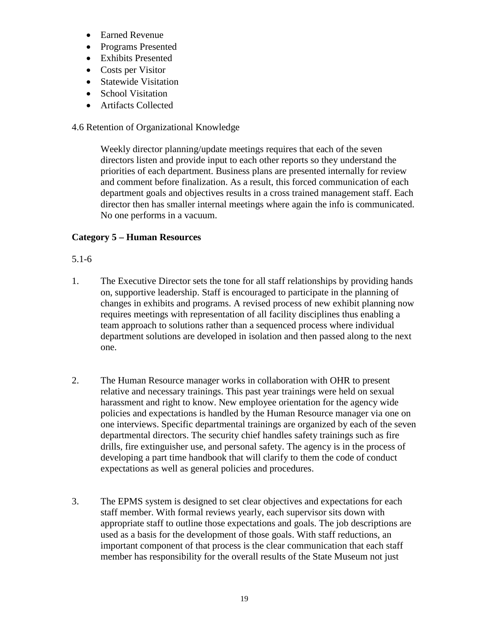- Earned Revenue
- Programs Presented
- Exhibits Presented
- Costs per Visitor
- Statewide Visitation
- School Visitation
- Artifacts Collected

# 4.6 Retention of Organizational Knowledge

Weekly director planning/update meetings requires that each of the seven directors listen and provide input to each other reports so they understand the priorities of each department. Business plans are presented internally for review and comment before finalization. As a result, this forced communication of each department goals and objectives results in a cross trained management staff. Each director then has smaller internal meetings where again the info is communicated. No one performs in a vacuum.

# **Category 5 – Human Resources**

# 5.1-6

- 1. The Executive Director sets the tone for all staff relationships by providing hands on, supportive leadership. Staff is encouraged to participate in the planning of changes in exhibits and programs. A revised process of new exhibit planning now requires meetings with representation of all facility disciplines thus enabling a team approach to solutions rather than a sequenced process where individual department solutions are developed in isolation and then passed along to the next one.
- 2. The Human Resource manager works in collaboration with OHR to present relative and necessary trainings. This past year trainings were held on sexual harassment and right to know. New employee orientation for the agency wide policies and expectations is handled by the Human Resource manager via one on one interviews. Specific departmental trainings are organized by each of the seven departmental directors. The security chief handles safety trainings such as fire drills, fire extinguisher use, and personal safety. The agency is in the process of developing a part time handbook that will clarify to them the code of conduct expectations as well as general policies and procedures.
- 3. The EPMS system is designed to set clear objectives and expectations for each staff member. With formal reviews yearly, each supervisor sits down with appropriate staff to outline those expectations and goals. The job descriptions are used as a basis for the development of those goals. With staff reductions, an important component of that process is the clear communication that each staff member has responsibility for the overall results of the State Museum not just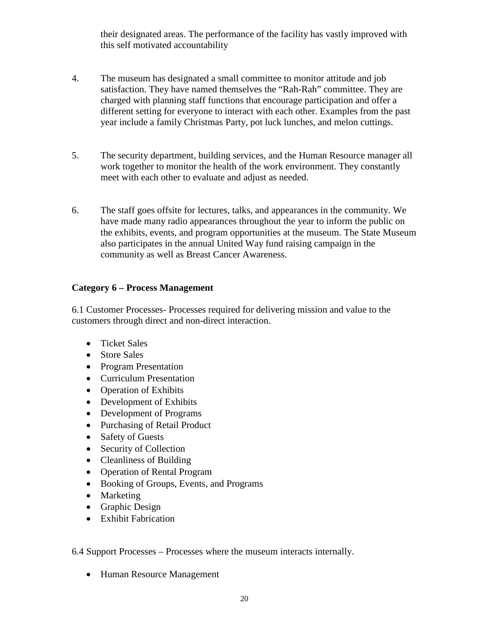their designated areas. The performance of the facility has vastly improved with this self motivated accountability

- 4. The museum has designated a small committee to monitor attitude and job satisfaction. They have named themselves the "Rah-Rah" committee. They are charged with planning staff functions that encourage participation and offer a different setting for everyone to interact with each other. Examples from the past year include a family Christmas Party, pot luck lunches, and melon cuttings.
- 5. The security department, building services, and the Human Resource manager all work together to monitor the health of the work environment. They constantly meet with each other to evaluate and adjust as needed.
- 6. The staff goes offsite for lectures, talks, and appearances in the community. We have made many radio appearances throughout the year to inform the public on the exhibits, events, and program opportunities at the museum. The State Museum also participates in the annual United Way fund raising campaign in the community as well as Breast Cancer Awareness.

# **Category 6 – Process Management**

6.1 Customer Processes- Processes required for delivering mission and value to the customers through direct and non-direct interaction.

- Ticket Sales
- Store Sales
- Program Presentation
- Curriculum Presentation
- Operation of Exhibits
- Development of Exhibits
- Development of Programs
- Purchasing of Retail Product
- Safety of Guests
- Security of Collection
- Cleanliness of Building
- Operation of Rental Program
- Booking of Groups, Events, and Programs
- Marketing
- Graphic Design
- Exhibit Fabrication

6.4 Support Processes – Processes where the museum interacts internally.

• Human Resource Management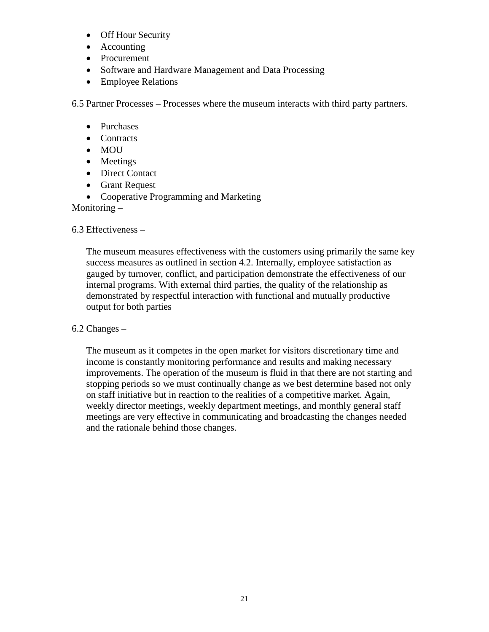- Off Hour Security
- Accounting
- Procurement
- Software and Hardware Management and Data Processing
- Employee Relations

6.5 Partner Processes – Processes where the museum interacts with third party partners.

- Purchases
- Contracts
- MOU
- Meetings
- Direct Contact
- Grant Request

• Cooperative Programming and Marketing

Monitoring –

6.3 Effectiveness –

The museum measures effectiveness with the customers using primarily the same key success measures as outlined in section 4.2. Internally, employee satisfaction as gauged by turnover, conflict, and participation demonstrate the effectiveness of our internal programs. With external third parties, the quality of the relationship as demonstrated by respectful interaction with functional and mutually productive output for both parties

# 6.2 Changes –

The museum as it competes in the open market for visitors discretionary time and income is constantly monitoring performance and results and making necessary improvements. The operation of the museum is fluid in that there are not starting and stopping periods so we must continually change as we best determine based not only on staff initiative but in reaction to the realities of a competitive market. Again, weekly director meetings, weekly department meetings, and monthly general staff meetings are very effective in communicating and broadcasting the changes needed and the rationale behind those changes.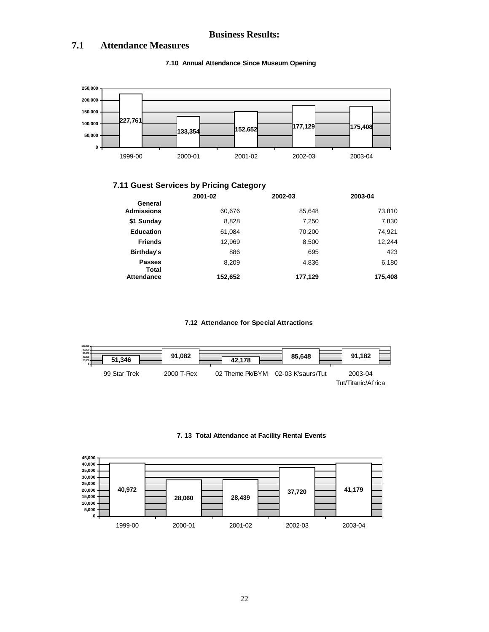### **Business Results:**

### **7.1 Attendance Measures**



#### **7.10 Annual Attendance Since Museum Opening**

# **7.11 Guest Services by Pricing Category**

|                               | 2001-02 | 2002-03 | 2003-04 |
|-------------------------------|---------|---------|---------|
| General<br><b>Admissions</b>  | 60,676  | 85,648  | 73,810  |
| \$1 Sunday                    | 8,828   | 7.250   | 7,830   |
| <b>Education</b>              | 61.084  | 70,200  | 74,921  |
| <b>Friends</b>                | 12,969  | 8,500   | 12,244  |
| Birthday's                    | 886     | 695     | 423     |
| <b>Passes</b><br><b>Total</b> | 8,209   | 4.836   | 6,180   |
| Attendance                    | 152,652 | 177,129 | 175,408 |

#### **7.12 Attendance for Special Attractions**



#### **7. 13 Total Attendance at Facility Rental Events**

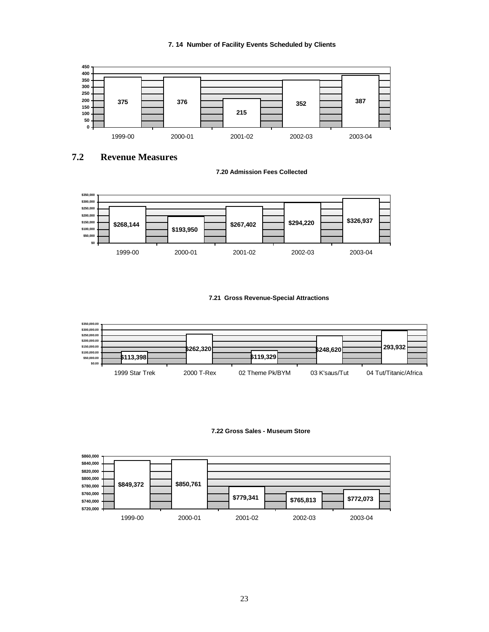



**7.2 Revenue Measures**





### **7.21 Gross Revenue-Special Attractions**



#### **7.22 Gross Sales - Museum Store**

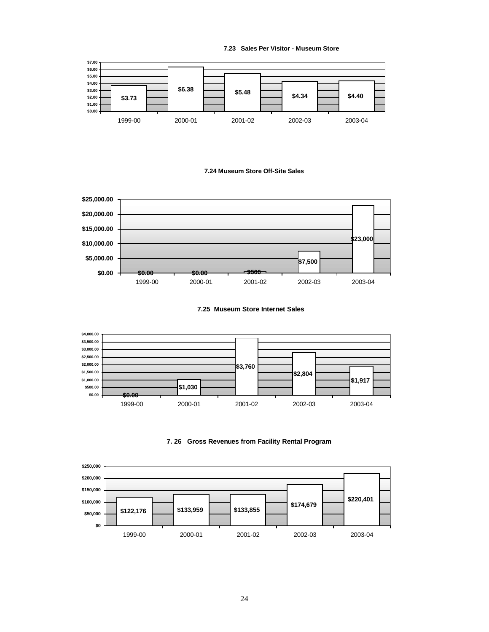**7.23 Sales Per Visitor - Museum Store**



### **7.24 Museum Store Off-Site Sales**



**7.25 Museum Store Internet Sales**





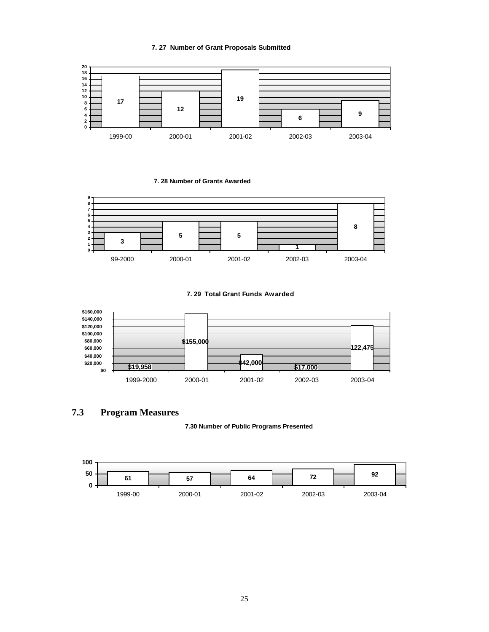**7. 27 Number of Grant Proposals Submitted**



**7. 28 Number of Grants Awarded**



**7. 29 Total Grant Funds Awarded**



**7.3 Program Measures**

**7.30 Number of Public Programs Presented**

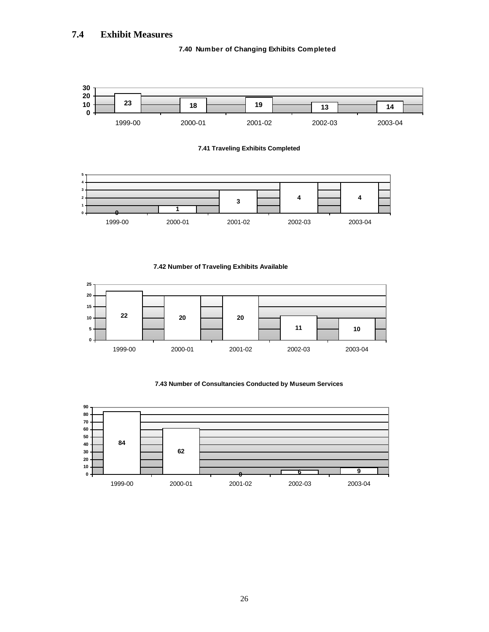# **7.4 Exhibit Measures**

### **7.40 Number of Changing Exhibits Completed**



**7.42 Number of Traveling Exhibits Available**



### **7.43 Number of Consultancies Conducted by Museum Services**

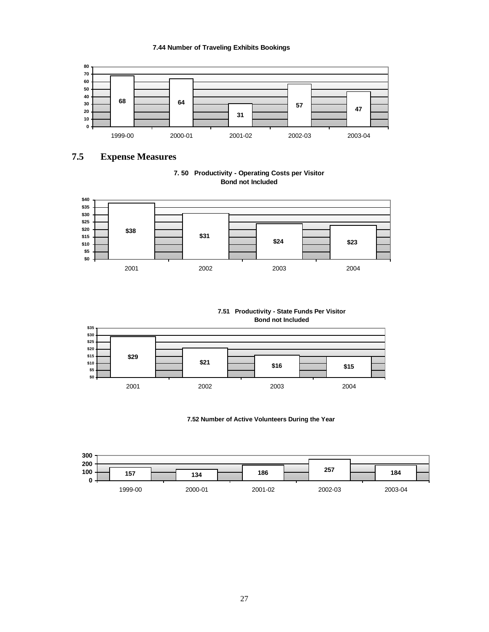### **7.44 Number of Traveling Exhibits Bookings**



# **7.5 Expense Measures**





**7.51 Productivity - State Funds Per Visitor Bond not Included**



**7.52 Number of Active Volunteers During the Year**

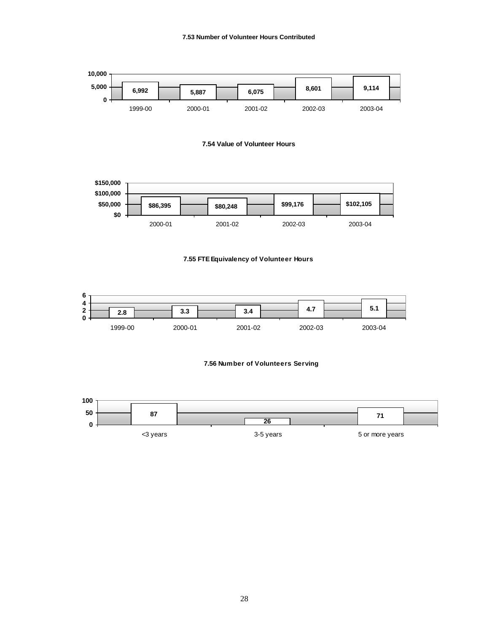











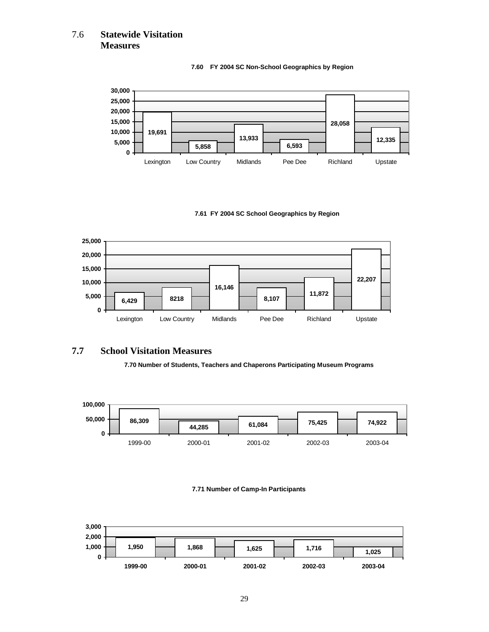# 7.6 **Statewide Visitation Measures**



#### **7.60 FY 2004 SC Non-School Geographics by Region**

#### **7.61 FY 2004 SC School Geographics by Region**



### **7.7 School Visitation Measures**

**7.70 Number of Students, Teachers and Chaperons Participating Museum Programs** 



#### **7.71 Number of Camp-In Participants**

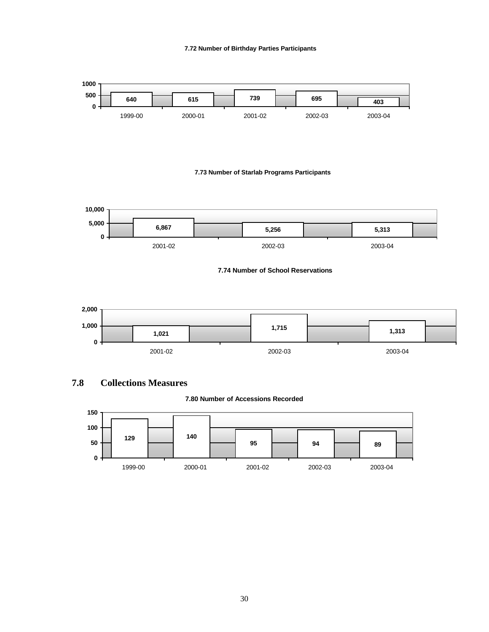#### **7.72 Number of Birthday Parties Participants**



#### **7.73 Number of Starlab Programs Participants**



#### **7.74 Number of School Reservations**



# **7.8 Collections Measures**